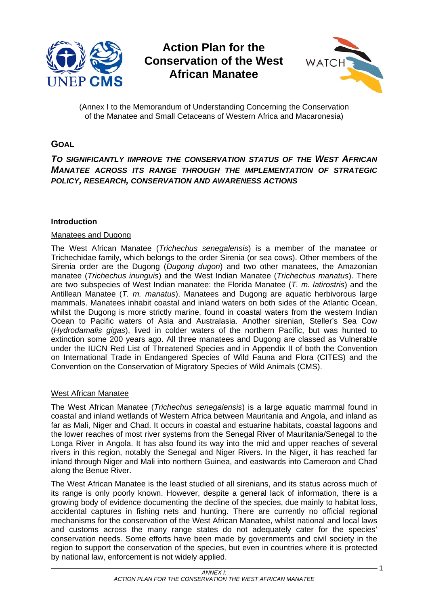

**Action Plan for the Conservation of the West African Manatee** 



(Annex I to the Memorandum of Understanding Concerning the Conservation of the Manatee and Small Cetaceans of Western Africa and Macaronesia)

# **GOAL**

## *TO SIGNIFICANTLY IMPROVE THE CONSERVATION STATUS OF THE WEST AFRICAN MANATEE ACROSS ITS RANGE THROUGH THE IMPLEMENTATION OF STRATEGIC POLICY, RESEARCH, CONSERVATION AND AWARENESS ACTIONS*

## **Introduction**

### Manatees and Dugong

The West African Manatee (*Trichechus senegalensis*) is a member of the manatee or Trichechidae family, which belongs to the order Sirenia (or sea cows). Other members of the Sirenia order are the Dugong (*Dugong dugon*) and two other manatees, the Amazonian manatee (*Trichechus inunguis*) and the West Indian Manatee (*Trichechus manatus*). There are two subspecies of West Indian manatee: the Florida Manatee (*T. m. latirostris*) and the Antillean Manatee (*T. m. manatus*). Manatees and Dugong are aquatic herbivorous large mammals. Manatees inhabit coastal and inland waters on both sides of the Atlantic Ocean, whilst the Dugong is more strictly marine, found in coastal waters from the western Indian Ocean to Pacific waters of Asia and Australasia. Another sirenian, Steller's Sea Cow (*Hydrodamalis gigas*), lived in colder waters of the northern Pacific, but was hunted to extinction some 200 years ago. All three manatees and Dugong are classed as Vulnerable under the IUCN Red List of Threatened Species and in Appendix II of both the Convention on International Trade in Endangered Species of Wild Fauna and Flora (CITES) and the Convention on the Conservation of Migratory Species of Wild Animals (CMS).

### West African Manatee

The West African Manatee (*Trichechus senegalensis*) is a large aquatic mammal found in coastal and inland wetlands of Western Africa between Mauritania and Angola, and inland as far as Mali, Niger and Chad. It occurs in coastal and estuarine habitats, coastal lagoons and the lower reaches of most river systems from the Senegal River of Mauritania/Senegal to the Longa River in Angola. It has also found its way into the mid and upper reaches of several rivers in this region, notably the Senegal and Niger Rivers. In the Niger, it has reached far inland through Niger and Mali into northern Guinea, and eastwards into Cameroon and Chad along the Benue River.

The West African Manatee is the least studied of all sirenians, and its status across much of its range is only poorly known. However, despite a general lack of information, there is a growing body of evidence documenting the decline of the species, due mainly to habitat loss, accidental captures in fishing nets and hunting. There are currently no official regional mechanisms for the conservation of the West African Manatee, whilst national and local laws and customs across the many range states do not adequately cater for the species' conservation needs. Some efforts have been made by governments and civil society in the region to support the conservation of the species, but even in countries where it is protected by national law, enforcement is not widely applied.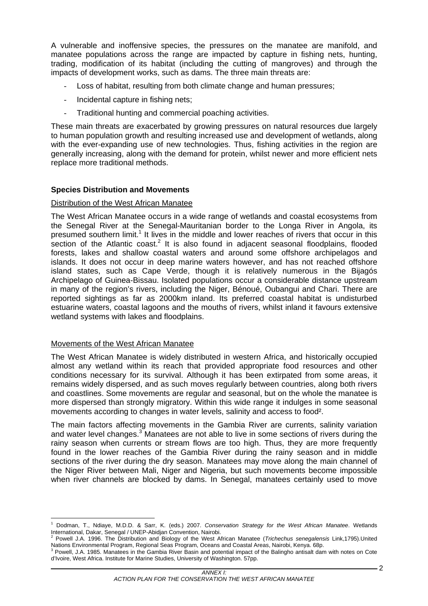A vulnerable and inoffensive species, the pressures on the manatee are manifold, and manatee populations across the range are impacted by capture in fishing nets, hunting, trading, modification of its habitat (including the cutting of mangroves) and through the impacts of development works, such as dams. The three main threats are:

- Loss of habitat, resulting from both climate change and human pressures;
- Incidental capture in fishing nets;
- Traditional hunting and commercial poaching activities.

These main threats are exacerbated by growing pressures on natural resources due largely to human population growth and resulting increased use and development of wetlands, along with the ever-expanding use of new technologies. Thus, fishing activities in the region are generally increasing, along with the demand for protein, whilst newer and more efficient nets replace more traditional methods.

## **Species Distribution and Movements**

### Distribution of the West African Manatee

The West African Manatee occurs in a wide range of wetlands and coastal ecosystems from the Senegal River at the Senegal-Mauritanian border to the Longa River in Angola, its presumed southern limit.<sup>1</sup> It lives in the middle and lower reaches of rivers that occur in this section of the Atlantic coast.<sup>2</sup> It is also found in adjacent seasonal floodplains, flooded forests, lakes and shallow coastal waters and around some offshore archipelagos and islands. It does not occur in deep marine waters however, and has not reached offshore island states, such as Cape Verde, though it is relatively numerous in the Bijagós Archipelago of Guinea-Bissau. Isolated populations occur a considerable distance upstream in many of the region's rivers, including the Niger, Bénoué, Oubangui and Chari. There are reported sightings as far as 2000km inland. Its preferred coastal habitat is undisturbed estuarine waters, coastal lagoons and the mouths of rivers, whilst inland it favours extensive wetland systems with lakes and floodplains.

### Movements of the West African Manatee

 $\overline{a}$ 

The West African Manatee is widely distributed in western Africa, and historically occupied almost any wetland within its reach that provided appropriate food resources and other conditions necessary for its survival. Although it has been extirpated from some areas, it remains widely dispersed, and as such moves regularly between countries, along both rivers and coastlines. Some movements are regular and seasonal, but on the whole the manatee is more dispersed than strongly migratory. Within this wide range it indulges in some seasonal movements according to changes in water levels, salinity and access to food².

The main factors affecting movements in the Gambia River are currents, salinity variation and water level changes.<sup>3</sup> Manatees are not able to live in some sections of rivers during the rainy season when currents or stream flows are too high. Thus, they are more frequently found in the lower reaches of the Gambia River during the rainy season and in middle sections of the river during the dry season. Manatees may move along the main channel of the Niger River between Mali, Niger and Nigeria, but such movements become impossible when river channels are blocked by dams. In Senegal, manatees certainly used to move

<sup>1</sup> Dodman, T., Ndiaye, M.D.D. & Sarr, K. (eds.) 2007. *Conservation Strategy for the West African Manatee*. Wetlands International, Dakar, Senegal / UNEP-Abidjan Convention, Nairobi.<br><sup>2</sup> Bougle 1.A. 1996, The Distribution and Biology of the West A

Powell J.A. 1996. The Distribution and Biology of the West African Manatee (*Trichechus senegalensis* Link,1795).United Nations Environmental Program, Regional Seas Program, Oceans and Coastal Areas, Nairobi, Kenya. 68p. 3

Powell, J.A. 1985. Manatees in the Gambia River Basin and potential impact of the Balingho antisalt dam with notes on Cote d'Ivoire, West Africa. Institute for Marine Studies, University of Washington. 57pp.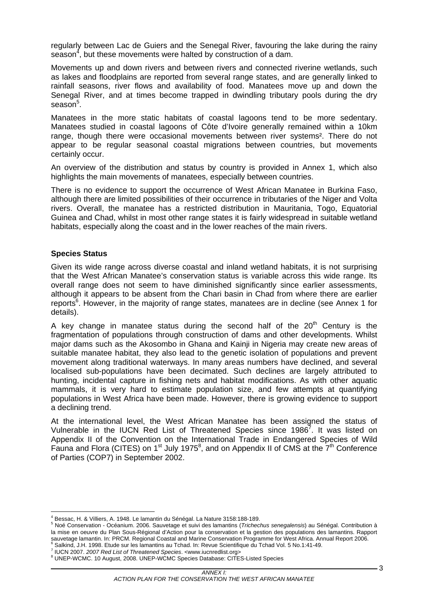regularly between Lac de Guiers and the Senegal River, favouring the lake during the rainy season<sup>4</sup>, but these movements were halted by construction of a dam.

Movements up and down rivers and between rivers and connected riverine wetlands, such as lakes and floodplains are reported from several range states, and are generally linked to rainfall seasons, river flows and availability of food. Manatees move up and down the Senegal River, and at times become trapped in dwindling tributary pools during the dry season<sup>5</sup>.

Manatees in the more static habitats of coastal lagoons tend to be more sedentary. Manatees studied in coastal lagoons of Côte d'Ivoire generally remained within a 10km range, though there were occasional movements between river systems². There do not appear to be regular seasonal coastal migrations between countries, but movements certainly occur.

An overview of the distribution and status by country is provided in Annex 1, which also highlights the main movements of manatees, especially between countries.

There is no evidence to support the occurrence of West African Manatee in Burkina Faso, although there are limited possibilities of their occurrence in tributaries of the Niger and Volta rivers. Overall, the manatee has a restricted distribution in Mauritania, Togo, Equatorial Guinea and Chad, whilst in most other range states it is fairly widespread in suitable wetland habitats, especially along the coast and in the lower reaches of the main rivers.

### **Species Status**

Given its wide range across diverse coastal and inland wetland habitats, it is not surprising that the West African Manatee's conservation status is variable across this wide range. Its overall range does not seem to have diminished significantly since earlier assessments, although it appears to be absent from the Chari basin in Chad from where there are earlier reports<sup>6</sup>. However, in the majority of range states, manatees are in decline (see Annex 1 for details).

A key change in manatee status during the second half of the  $20<sup>th</sup>$  Century is the fragmentation of populations through construction of dams and other developments. Whilst major dams such as the Akosombo in Ghana and Kainji in Nigeria may create new areas of suitable manatee habitat, they also lead to the genetic isolation of populations and prevent movement along traditional waterways. In many areas numbers have declined, and several localised sub-populations have been decimated. Such declines are largely attributed to hunting, incidental capture in fishing nets and habitat modifications. As with other aquatic mammals, it is very hard to estimate population size, and few attempts at quantifying populations in West Africa have been made. However, there is growing evidence to support a declining trend.

At the international level, the West African Manatee has been assigned the status of Vulnerable in the IUCN Red List of Threatened Species since 1986<sup>7</sup>. It was listed on Appendix II of the Convention on the International Trade in Endangered Species of Wild Fauna and Flora (CITES) on 1<sup>st</sup> July 1975<sup>8</sup>, and on Appendix II of CMS at the 7<sup>th</sup> Conference of Parties (COP7) in September 2002.

 4 Bessac, H. & Villiers, A. 1948. Le lamantin du Sénégal. La Nature 3158:188-189. 5

Noé Conservation - Océanium. 2006. Sauvetage et suivi des lamantins (*Trichechus senegalensis*) au Sénégal. Contribution à la mise en oeuvre du Plan Sous-Régional d'Action pour la conservation et la gestion des populations des lamantins. Rapport sauvetage lamantin. In: PRCM. Regional Coastal and Marine Conservation Programme for West Africa. Annual Report 2006. Salkind, J.H. 1998. Etude sur les lamantins au Tchad. In: Revue Scientifique du Tchad Vol. 5 No.1:41-49. 7

IUCN 2007. *2007 Red List of Threatened Species*. <www.iucnredlist.org> 8

UNEP-WCMC. 10 August, 2008. UNEP-WCMC Species Database: CITES-Listed Species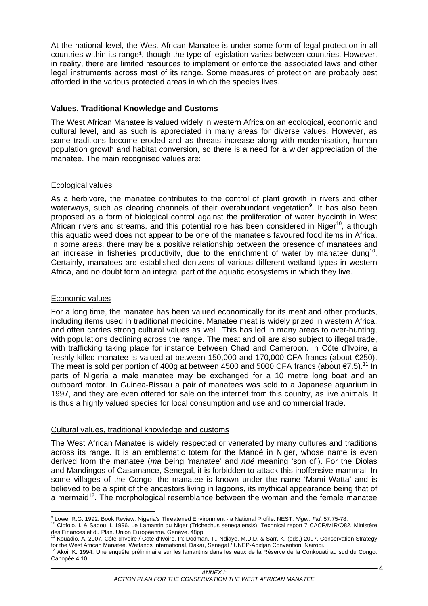At the national level, the West African Manatee is under some form of legal protection in all countries within its range<sup>1</sup>, though the type of legislation varies between countries. However, in reality, there are limited resources to implement or enforce the associated laws and other legal instruments across most of its range. Some measures of protection are probably best afforded in the various protected areas in which the species lives.

## **Values, Traditional Knowledge and Customs**

The West African Manatee is valued widely in western Africa on an ecological, economic and cultural level, and as such is appreciated in many areas for diverse values. However, as some traditions become eroded and as threats increase along with modernisation, human population growth and habitat conversion, so there is a need for a wider appreciation of the manatee. The main recognised values are:

## Ecological values

As a herbivore, the manatee contributes to the control of plant growth in rivers and other waterways, such as clearing channels of their overabundant vegetation<sup>9</sup>. It has also been proposed as a form of biological control against the proliferation of water hyacinth in West African rivers and streams, and this potential role has been considered in Niger<sup>10</sup>, although this aquatic weed does not appear to be one of the manatee's favoured food items in Africa. In some areas, there may be a positive relationship between the presence of manatees and an increase in fisheries productivity, due to the enrichment of water by manatee dung<sup>10</sup>. Certainly, manatees are established denizens of various different wetland types in western Africa, and no doubt form an integral part of the aquatic ecosystems in which they live.

### Economic values

For a long time, the manatee has been valued economically for its meat and other products, including items used in traditional medicine. Manatee meat is widely prized in western Africa, and often carries strong cultural values as well. This has led in many areas to over-hunting, with populations declining across the range. The meat and oil are also subject to illegal trade, with trafficking taking place for instance between Chad and Cameroon. In Côte d'Ivoire, a freshly-killed manatee is valued at between 150,000 and 170,000 CFA francs (about €250). The meat is sold per portion of 400g at between 4500 and 5000 CFA francs (about  $\epsilon$ 7.5).<sup>11</sup> In parts of Nigeria a male manatee may be exchanged for a 10 metre long boat and an outboard motor. In Guinea-Bissau a pair of manatees was sold to a Japanese aquarium in 1997, and they are even offered for sale on the internet from this country, as live animals. It is thus a highly valued species for local consumption and use and commercial trade.

## Cultural values, traditional knowledge and customs

The West African Manatee is widely respected or venerated by many cultures and traditions across its range. It is an emblematic totem for the Mandé in Niger, whose name is even derived from the manatee (*ma* being 'manatee' and *ndé* meaning 'son of'). For the Diolas and Mandingos of Casamance, Senegal, it is forbidden to attack this inoffensive mammal. In some villages of the Congo, the manatee is known under the name 'Mami Watta' and is believed to be a spirit of the ancestors living in lagoons, its mythical appearance being that of a mermaid<sup>12</sup>. The morphological resemblance between the woman and the female manatee

<sup>&</sup>lt;u>。</u><br><sup>9</sup> Lowe, R.G. 1992. Book Review: Nigeria's Threatened Environment - a National Profile. NEST. *Niger. Fld.* 57:75-78.<br><sup>10</sup> Ciofolo, I. & Sadou, I. 1996. Le Lamantin du Niger (Trichechus senegalensis). Technical repor

des Finances et du Plan. Union Européenne. Genève. 48pp.<br><sup>11</sup> Kouadio, A. 2007. Côte d'Ivoire / Cote d'Ivoire. In: Dodman, T., Ndiaye, M.D.D. & Sarr, K. (eds.) 2007. Conservation Strategy

for the West African Manatee. Wetlands International, Dakar, Senegal / UNEP-Abidjan Convention, Nairobi.<br><sup>12</sup> Akoi, K. 1994. Une enquête préliminaire sur les lamantins dans les eaux de la Réserve de la Conkouati au sud du

Canopée 4:10.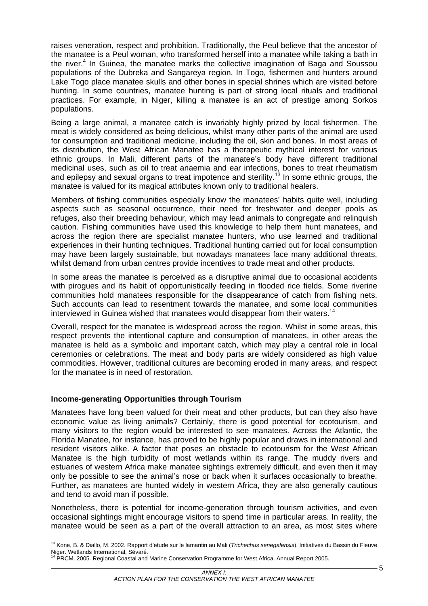raises veneration, respect and prohibition. Traditionally, the Peul believe that the ancestor of the manatee is a Peul woman, who transformed herself into a manatee while taking a bath in the river.<sup>4</sup> In Guinea, the manatee marks the collective imagination of Baga and Soussou populations of the Dubreka and Sangareya region. In Togo, fishermen and hunters around Lake Togo place manatee skulls and other bones in special shrines which are visited before hunting. In some countries, manatee hunting is part of strong local rituals and traditional practices. For example, in Niger, killing a manatee is an act of prestige among Sorkos populations.

Being a large animal, a manatee catch is invariably highly prized by local fishermen. The meat is widely considered as being delicious, whilst many other parts of the animal are used for consumption and traditional medicine, including the oil, skin and bones. In most areas of its distribution, the West African Manatee has a therapeutic mythical interest for various ethnic groups. In Mali, different parts of the manatee's body have different traditional medicinal uses, such as oil to treat anaemia and ear infections, bones to treat rheumatism and epilepsy and sexual organs to treat impotence and sterility.<sup>13</sup> In some ethnic groups, the manatee is valued for its magical attributes known only to traditional healers.

Members of fishing communities especially know the manatees' habits quite well, including aspects such as seasonal occurrence, their need for freshwater and deeper pools as refuges, also their breeding behaviour, which may lead animals to congregate and relinquish caution. Fishing communities have used this knowledge to help them hunt manatees, and across the region there are specialist manatee hunters, who use learned and traditional experiences in their hunting techniques. Traditional hunting carried out for local consumption may have been largely sustainable, but nowadays manatees face many additional threats, whilst demand from urban centres provide incentives to trade meat and other products.

In some areas the manatee is perceived as a disruptive animal due to occasional accidents with pirogues and its habit of opportunistically feeding in flooded rice fields. Some riverine communities hold manatees responsible for the disappearance of catch from fishing nets. Such accounts can lead to resentment towards the manatee, and some local communities interviewed in Guinea wished that manatees would disappear from their waters.<sup>14</sup>

Overall, respect for the manatee is widespread across the region. Whilst in some areas, this respect prevents the intentional capture and consumption of manatees, in other areas the manatee is held as a symbolic and important catch, which may play a central role in local ceremonies or celebrations. The meat and body parts are widely considered as high value commodities. However, traditional cultures are becoming eroded in many areas, and respect for the manatee is in need of restoration.

### **Income-generating Opportunities through Tourism**

 $\overline{a}$ 

Manatees have long been valued for their meat and other products, but can they also have economic value as living animals? Certainly, there is good potential for ecotourism, and many visitors to the region would be interested to see manatees. Across the Atlantic, the Florida Manatee, for instance, has proved to be highly popular and draws in international and resident visitors alike. A factor that poses an obstacle to ecotourism for the West African Manatee is the high turbidity of most wetlands within its range. The muddy rivers and estuaries of western Africa make manatee sightings extremely difficult, and even then it may only be possible to see the animal's nose or back when it surfaces occasionally to breathe. Further, as manatees are hunted widely in western Africa, they are also generally cautious and tend to avoid man if possible.

Nonetheless, there is potential for income-generation through tourism activities, and even occasional sightings might encourage visitors to spend time in particular areas. In reality, the manatee would be seen as a part of the overall attraction to an area, as most sites where

<sup>13</sup> Kone, B. & Diallo, M. 2002. Rapport d'etude sur le lamantin au Mali (*Trichechus senegalensis*). Initiatives du Bassin du Fleuve Niger. Wetlands International, Sévaré.<br><sup>14</sup> PRCM. 2005. Regional Coastal and Marine Conservation Programme for West Africa. Annual Report 2005.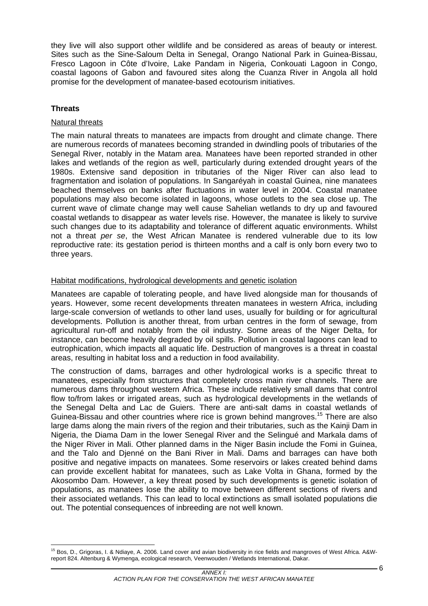they live will also support other wildlife and be considered as areas of beauty or interest. Sites such as the Sine-Saloum Delta in Senegal, Orango National Park in Guinea-Bissau, Fresco Lagoon in Côte d'Ivoire, Lake Pandam in Nigeria, Conkouati Lagoon in Congo, coastal lagoons of Gabon and favoured sites along the Cuanza River in Angola all hold promise for the development of manatee-based ecotourism initiatives.

## **Threats**

### Natural threats

The main natural threats to manatees are impacts from drought and climate change. There are numerous records of manatees becoming stranded in dwindling pools of tributaries of the Senegal River, notably in the Matam area. Manatees have been reported stranded in other lakes and wetlands of the region as well, particularly during extended drought years of the 1980s. Extensive sand deposition in tributaries of the Niger River can also lead to fragmentation and isolation of populations. In Sangaréyah in coastal Guinea, nine manatees beached themselves on banks after fluctuations in water level in 2004. Coastal manatee populations may also become isolated in lagoons, whose outlets to the sea close up. The current wave of climate change may well cause Sahelian wetlands to dry up and favoured coastal wetlands to disappear as water levels rise. However, the manatee is likely to survive such changes due to its adaptability and tolerance of different aquatic environments. Whilst not a threat *per se*, the West African Manatee is rendered vulnerable due to its low reproductive rate: its gestation period is thirteen months and a calf is only born every two to three years.

## Habitat modifications, hydrological developments and genetic isolation

Manatees are capable of tolerating people, and have lived alongside man for thousands of years. However, some recent developments threaten manatees in western Africa, including large-scale conversion of wetlands to other land uses, usually for building or for agricultural developments. Pollution is another threat, from urban centres in the form of sewage, from agricultural run-off and notably from the oil industry. Some areas of the Niger Delta, for instance, can become heavily degraded by oil spills. Pollution in coastal lagoons can lead to eutrophication, which impacts all aquatic life. Destruction of mangroves is a threat in coastal areas, resulting in habitat loss and a reduction in food availability.

The construction of dams, barrages and other hydrological works is a specific threat to manatees, especially from structures that completely cross main river channels. There are numerous dams throughout western Africa. These include relatively small dams that control flow to/from lakes or irrigated areas, such as hydrological developments in the wetlands of the Senegal Delta and Lac de Guiers. There are anti-salt dams in coastal wetlands of Guinea-Bissau and other countries where rice is grown behind mangroves.<sup>15</sup> There are also large dams along the main rivers of the region and their tributaries, such as the Kainji Dam in Nigeria, the Diama Dam in the lower Senegal River and the Selingué and Markala dams of the Niger River in Mali. Other planned dams in the Niger Basin include the Fomi in Guinea, and the Talo and Djenné on the Bani River in Mali. Dams and barrages can have both positive and negative impacts on manatees. Some reservoirs or lakes created behind dams can provide excellent habitat for manatees, such as Lake Volta in Ghana, formed by the Akosombo Dam. However, a key threat posed by such developments is genetic isolation of populations, as manatees lose the ability to move between different sections of rivers and their associated wetlands. This can lead to local extinctions as small isolated populations die out. The potential consequences of inbreeding are not well known.

 $\overline{a}$ 15 Bos, D., Grigoras, I. & Ndiaye, A. 2006. Land cover and avian biodiversity in rice fields and mangroves of West Africa. A&Wreport 824. Altenburg & Wymenga, ecological research, Veenwouden / Wetlands International, Dakar.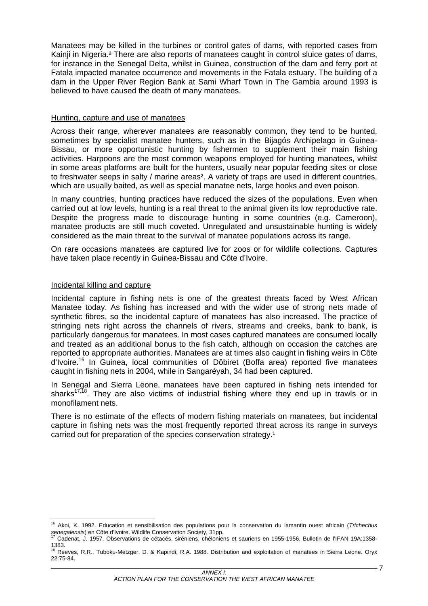Manatees may be killed in the turbines or control gates of dams, with reported cases from Kainii in Nigeria.<sup>2</sup> There are also reports of manatees caught in control sluice gates of dams, for instance in the Senegal Delta, whilst in Guinea, construction of the dam and ferry port at Fatala impacted manatee occurrence and movements in the Fatala estuary. The building of a dam in the Upper River Region Bank at Sami Wharf Town in The Gambia around 1993 is believed to have caused the death of many manatees.

#### Hunting, capture and use of manatees

Across their range, wherever manatees are reasonably common, they tend to be hunted, sometimes by specialist manatee hunters, such as in the Bijagós Archipelago in Guinea-Bissau, or more opportunistic hunting by fishermen to supplement their main fishing activities. Harpoons are the most common weapons employed for hunting manatees, whilst in some areas platforms are built for the hunters, usually near popular feeding sites or close to freshwater seeps in salty / marine areas<sup>2</sup>. A variety of traps are used in different countries, which are usually baited, as well as special manatee nets, large hooks and even poison.

In many countries, hunting practices have reduced the sizes of the populations. Even when carried out at low levels, hunting is a real threat to the animal given its low reproductive rate. Despite the progress made to discourage hunting in some countries (e.g. Cameroon), manatee products are still much coveted. Unregulated and unsustainable hunting is widely considered as the main threat to the survival of manatee populations across its range.

On rare occasions manatees are captured live for zoos or for wildlife collections. Captures have taken place recently in Guinea-Bissau and Côte d'Ivoire.

#### Incidental killing and capture

 $\overline{a}$ 

Incidental capture in fishing nets is one of the greatest threats faced by West African Manatee today. As fishing has increased and with the wider use of strong nets made of synthetic fibres, so the incidental capture of manatees has also increased. The practice of stringing nets right across the channels of rivers, streams and creeks, bank to bank, is particularly dangerous for manatees. In most cases captured manatees are consumed locally and treated as an additional bonus to the fish catch, although on occasion the catches are reported to appropriate authorities. Manatees are at times also caught in fishing weirs in Côte d'Ivoire.16 In Guinea, local communities of Dôbiret (Boffa area) reported five manatees caught in fishing nets in 2004, while in Sangaréyah, 34 had been captured.

In Senegal and Sierra Leone, manatees have been captured in fishing nets intended for sharks<sup>17,18</sup>. They are also victims of industrial fishing where they end up in trawls or in monofilament nets.

There is no estimate of the effects of modern fishing materials on manatees, but incidental capture in fishing nets was the most frequently reported threat across its range in surveys carried out for preparation of the species conservation strategy.<sup>1</sup>

<sup>16</sup> Akoi, K. 1992. Education et sensibilisation des populations pour la conservation du lamantin ouest africain (*Trichechus senegalensis*) en Côte d'Ivoire. Wildlife Conservation Society, 31pp. 17 Cadenat, J. 1957. Observations de cétacés, siréniens, chéloniens et sauriens en 1955-1956. Bulletin de l'IFAN 19A:1358-

<sup>1383.&</sup>lt;br><sup>18</sup> Reeves, R.R., Tuboku-Metzger, D. & Kapindi, R.A. 1988. Distribution and exploitation of manatees in Sierra Leone. Oryx 22:75-84.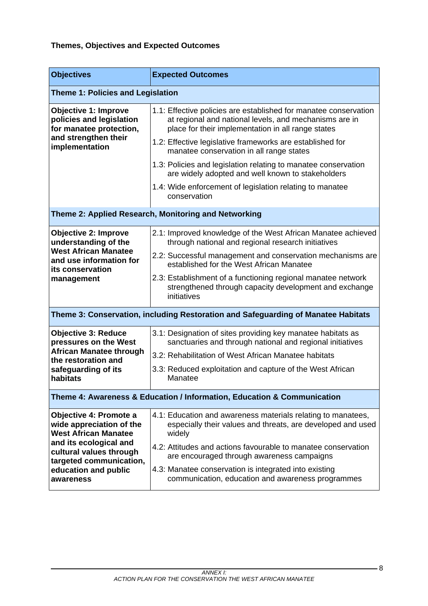# **Themes, Objectives and Expected Outcomes**

| <b>Objectives</b>                                                                  | <b>Expected Outcomes</b>                                                                                                                                                         |
|------------------------------------------------------------------------------------|----------------------------------------------------------------------------------------------------------------------------------------------------------------------------------|
| <b>Theme 1: Policies and Legislation</b>                                           |                                                                                                                                                                                  |
| <b>Objective 1: Improve</b><br>policies and legislation<br>for manatee protection, | 1.1: Effective policies are established for manatee conservation<br>at regional and national levels, and mechanisms are in<br>place for their implementation in all range states |
| and strengthen their<br>implementation                                             | 1.2: Effective legislative frameworks are established for<br>manatee conservation in all range states                                                                            |
|                                                                                    | 1.3: Policies and legislation relating to manatee conservation<br>are widely adopted and well known to stakeholders                                                              |
|                                                                                    | 1.4: Wide enforcement of legislation relating to manatee<br>conservation                                                                                                         |
|                                                                                    | Theme 2: Applied Research, Monitoring and Networking                                                                                                                             |
| <b>Objective 2: Improve</b><br>understanding of the                                | 2.1: Improved knowledge of the West African Manatee achieved<br>through national and regional research initiatives                                                               |
| <b>West African Manatee</b><br>and use information for<br>its conservation         | 2.2: Successful management and conservation mechanisms are<br>established for the West African Manatee                                                                           |
| management                                                                         | 2.3: Establishment of a functioning regional manatee network<br>strengthened through capacity development and exchange<br>initiatives                                            |
|                                                                                    | Theme 3: Conservation, including Restoration and Safeguarding of Manatee Habitats                                                                                                |
| <b>Objective 3: Reduce</b><br>pressures on the West                                | 3.1: Designation of sites providing key manatee habitats as<br>sanctuaries and through national and regional initiatives                                                         |
| <b>African Manatee through</b><br>the restoration and                              | 3.2: Rehabilitation of West African Manatee habitats                                                                                                                             |
| safeguarding of its<br>habitats                                                    | 3.3: Reduced exploitation and capture of the West African<br>Manatee                                                                                                             |
|                                                                                    | Theme 4: Awareness & Education / Information, Education & Communication                                                                                                          |
| Objective 4: Promote a<br>wide appreciation of the<br><b>West African Manatee</b>  | 4.1: Education and awareness materials relating to manatees,<br>especially their values and threats, are developed and used<br>widely                                            |
| and its ecological and<br>cultural values through<br>targeted communication,       | 4.2: Attitudes and actions favourable to manatee conservation<br>are encouraged through awareness campaigns                                                                      |
| education and public<br>awareness                                                  | 4.3: Manatee conservation is integrated into existing<br>communication, education and awareness programmes                                                                       |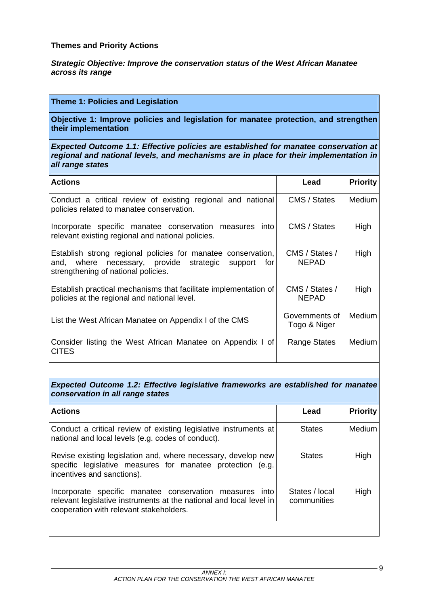### **Themes and Priority Actions**

*Strategic Objective: Improve the conservation status of the West African Manatee across its range* 

## **Theme 1: Policies and Legislation**

**Objective 1: Improve policies and legislation for manatee protection, and strengthen their implementation** 

*Expected Outcome 1.1: Effective policies are established for manatee conservation at regional and national levels, and mechanisms are in place for their implementation in all range states* 

| <b>Actions</b>                                                                                                                                                    | Lead                           | <b>Priority</b> |
|-------------------------------------------------------------------------------------------------------------------------------------------------------------------|--------------------------------|-----------------|
| Conduct a critical review of existing regional and national<br>policies related to manatee conservation.                                                          | CMS / States                   | Medium          |
| Incorporate specific manatee conservation measures into<br>relevant existing regional and national policies.                                                      | CMS / States                   | High            |
| Establish strong regional policies for manatee conservation,<br>and, where necessary, provide strategic<br>forl<br>support<br>strengthening of national policies. | CMS / States /<br><b>NEPAD</b> | High            |
| Establish practical mechanisms that facilitate implementation of<br>policies at the regional and national level.                                                  | CMS / States /<br><b>NEPAD</b> | High            |
| List the West African Manatee on Appendix I of the CMS                                                                                                            | Governments of<br>Togo & Niger | Medium          |
| Consider listing the West African Manatee on Appendix I of<br><b>CITES</b>                                                                                        | Range States                   | Medium          |

*Expected Outcome 1.2: Effective legislative frameworks are established for manatee conservation in all range states* 

| <b>Actions</b>                                                                                                                                                            | Lead                          | <b>Priority</b> |
|---------------------------------------------------------------------------------------------------------------------------------------------------------------------------|-------------------------------|-----------------|
| Conduct a critical review of existing legislative instruments at<br>national and local levels (e.g. codes of conduct).                                                    | <b>States</b>                 | Medium          |
| Revise existing legislation and, where necessary, develop new<br>specific legislative measures for manatee protection (e.g.<br>incentives and sanctions).                 | <b>States</b>                 | High            |
| Incorporate specific manatee conservation measures into<br>relevant legislative instruments at the national and local level in<br>cooperation with relevant stakeholders. | States / local<br>communities | High            |
|                                                                                                                                                                           |                               |                 |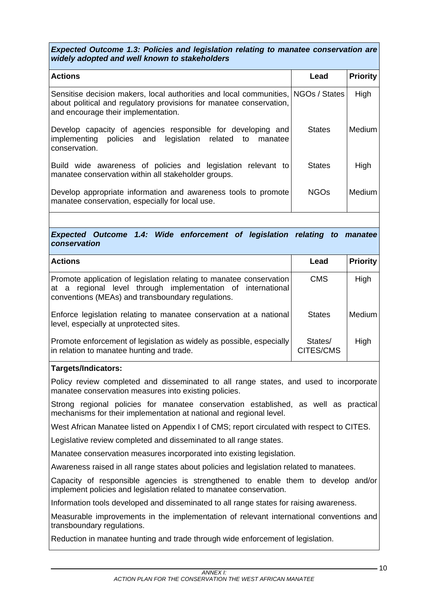*Expected Outcome 1.3: Policies and legislation relating to manatee conservation are widely adopted and well known to stakeholders* 

| <b>Actions</b>                                                                                                                                                                                  | Lead          | <b>Priority</b> |
|-------------------------------------------------------------------------------------------------------------------------------------------------------------------------------------------------|---------------|-----------------|
| Sensitise decision makers, local authorities and local communities, NGOs / States<br>about political and regulatory provisions for manatee conservation,<br>and encourage their implementation. |               | High            |
| Develop capacity of agencies responsible for developing and<br>implementing policies and legislation related to manatee<br>conservation.                                                        | <b>States</b> | Medium          |
| Build wide awareness of policies and legislation relevant to<br>manatee conservation within all stakeholder groups.                                                                             | <b>States</b> | High            |
| Develop appropriate information and awareness tools to promote<br>manatee conservation, especially for local use.                                                                               | <b>NGOs</b>   | Medium          |

*Expected Outcome 1.4: Wide enforcement of legislation relating to manatee conservation* 

| <b>Actions</b>                                                                                                                                                                          | Lead                 | <b>Priority</b> |
|-----------------------------------------------------------------------------------------------------------------------------------------------------------------------------------------|----------------------|-----------------|
| Promote application of legislation relating to manatee conservation<br>at a regional level through implementation of international<br>conventions (MEAs) and transboundary regulations. | <b>CMS</b>           | High            |
| Enforce legislation relating to manatee conservation at a national<br>level, especially at unprotected sites.                                                                           | <b>States</b>        | Medium I        |
| Promote enforcement of legislation as widely as possible, especially<br>in relation to manatee hunting and trade.                                                                       | States/<br>CITES/CMS | High            |

### **Targets/Indicators:**

Policy review completed and disseminated to all range states, and used to incorporate manatee conservation measures into existing policies.

Strong regional policies for manatee conservation established, as well as practical mechanisms for their implementation at national and regional level.

West African Manatee listed on Appendix I of CMS; report circulated with respect to CITES.

Legislative review completed and disseminated to all range states.

Manatee conservation measures incorporated into existing legislation.

Awareness raised in all range states about policies and legislation related to manatees.

Capacity of responsible agencies is strengthened to enable them to develop and/or implement policies and legislation related to manatee conservation.

Information tools developed and disseminated to all range states for raising awareness.

Measurable improvements in the implementation of relevant international conventions and transboundary regulations.

Reduction in manatee hunting and trade through wide enforcement of legislation.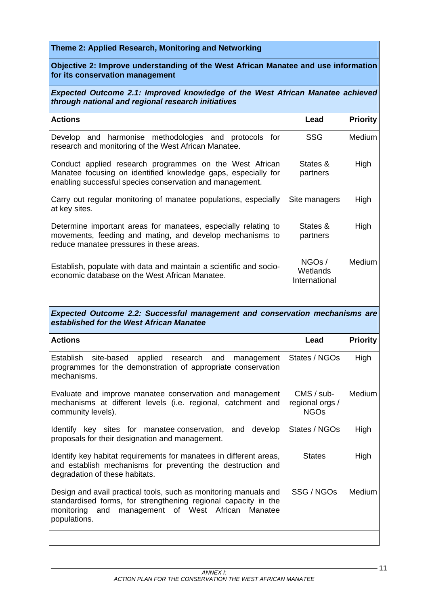## **Theme 2: Applied Research, Monitoring and Networking**

## **Objective 2: Improve understanding of the West African Manatee and use information for its conservation management**

## *Expected Outcome 2.1: Improved knowledge of the West African Manatee achieved through national and regional research initiatives*

| <b>Actions</b>                                                                                                                                                                       | Lead                               | <b>Priority</b> |
|--------------------------------------------------------------------------------------------------------------------------------------------------------------------------------------|------------------------------------|-----------------|
| Develop and harmonise methodologies and protocols for<br>research and monitoring of the West African Manatee.                                                                        | <b>SSG</b>                         | <b>Medium</b>   |
| Conduct applied research programmes on the West African<br>Manatee focusing on identified knowledge gaps, especially for<br>enabling successful species conservation and management. | States &<br>partners               | High            |
| Carry out regular monitoring of manatee populations, especially<br>at key sites.                                                                                                     | Site managers                      | High            |
| Determine important areas for manatees, especially relating to<br>movements, feeding and mating, and develop mechanisms to<br>reduce manatee pressures in these areas.               | States &<br>partners               | High            |
| Establish, populate with data and maintain a scientific and socio-<br>economic database on the West African Manatee.                                                                 | NGOs/<br>Wetlands<br>International | Medium          |

## *Expected Outcome 2.2: Successful management and conservation mechanisms are established for the West African Manatee*

| <b>Actions</b>                                                                                                                                                                                             | Lead                                                | <b>Priority</b> |
|------------------------------------------------------------------------------------------------------------------------------------------------------------------------------------------------------------|-----------------------------------------------------|-----------------|
| Establish site-based applied research and<br>management<br>programmes for the demonstration of appropriate conservation<br>mechanisms.                                                                     | States / NGOs                                       | High            |
| Evaluate and improve manatee conservation and management<br>mechanisms at different levels (i.e. regional, catchment and<br>community levels).                                                             | $CMS / sub-$<br>regional orgs /<br>NGO <sub>s</sub> | Medium          |
| Identify key sites for manatee conservation, and develop<br>proposals for their designation and management.                                                                                                | States / NGOs                                       | High            |
| Identify key habitat requirements for manatees in different areas,<br>and establish mechanisms for preventing the destruction and<br>degradation of these habitats.                                        | <b>States</b>                                       | High            |
| Design and avail practical tools, such as monitoring manuals and<br>standardised forms, for strengthening regional capacity in the<br>management of West African Manatee<br>monitoring and<br>populations. | SSG / NGOs                                          | Medium          |
|                                                                                                                                                                                                            |                                                     |                 |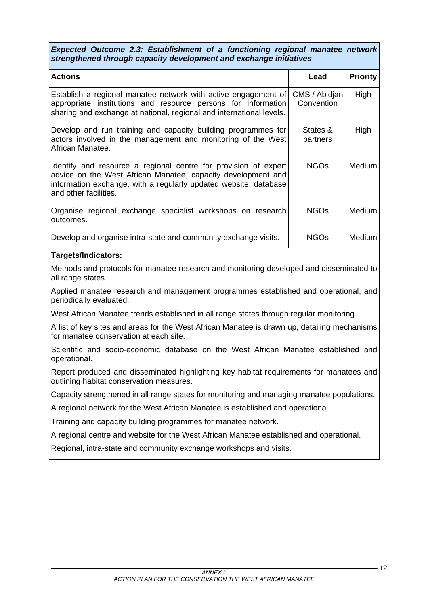*Expected Outcome 2.3: Establishment of a functioning regional manatee network strengthened through capacity development and exchange initiatives* 

| <b>Actions</b>                                                                                                                                                                                                               | Lead                        | <b>Priority</b> |
|------------------------------------------------------------------------------------------------------------------------------------------------------------------------------------------------------------------------------|-----------------------------|-----------------|
| Establish a regional manatee network with active engagement of<br>appropriate institutions and resource persons for information<br>sharing and exchange at national, regional and international levels.                      | CMS / Abidjan<br>Convention | High            |
| Develop and run training and capacity building programmes for<br>actors involved in the management and monitoring of the West<br>African Manatee.                                                                            | States &<br>partners        | High            |
| Identify and resource a regional centre for provision of expert<br>advice on the West African Manatee, capacity development and<br>information exchange, with a regularly updated website, database<br>and other facilities. | NGO <sub>S</sub>            | Medium          |
| Organise regional exchange specialist workshops on research<br>outcomes.                                                                                                                                                     | <b>NGOs</b>                 | <b>Medium</b>   |
| Develop and organise intra-state and community exchange visits.                                                                                                                                                              | NGOs                        | Medium          |

### **Targets/Indicators:**

Methods and protocols for manatee research and monitoring developed and disseminated to all range states.

Applied manatee research and management programmes established and operational, and periodically evaluated.

West African Manatee trends established in all range states through regular monitoring.

A list of key sites and areas for the West African Manatee is drawn up, detailing mechanisms for manatee conservation at each site.

Scientific and socio-economic database on the West African Manatee established and operational.

Report produced and disseminated highlighting key habitat requirements for manatees and outlining habitat conservation measures.

Capacity strengthened in all range states for monitoring and managing manatee populations.

A regional network for the West African Manatee is established and operational.

Training and capacity building programmes for manatee network.

A regional centre and website for the West African Manatee established and operational.

Regional, intra-state and community exchange workshops and visits.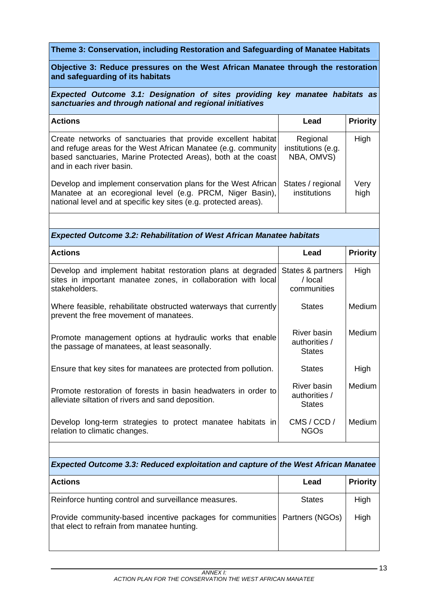## **Theme 3: Conservation, including Restoration and Safeguarding of Manatee Habitats**

## **Objective 3: Reduce pressures on the West African Manatee through the restoration and safeguarding of its habitats**

*Expected Outcome 3.1: Designation of sites providing key manatee habitats as sanctuaries and through national and regional initiatives* 

| <b>Actions</b>                                                                                                                                                                                                                | Lead                                         | <b>Priority</b> |
|-------------------------------------------------------------------------------------------------------------------------------------------------------------------------------------------------------------------------------|----------------------------------------------|-----------------|
| Create networks of sanctuaries that provide excellent habitat<br>and refuge areas for the West African Manatee (e.g. community<br>based sanctuaries, Marine Protected Areas), both at the coast<br>l and in each river basin. | Regional<br>institutions (e.g.<br>NBA, OMVS) | High            |
| Develop and implement conservation plans for the West African<br>Manatee at an ecoregional level (e.g. PRCM, Niger Basin),<br>national level and at specific key sites (e.g. protected areas).                                | States / regional<br>institutions            | Very<br>high    |

## *Expected Outcome 3.2: Rehabilitation of West African Manatee habitats*

| <b>Actions</b>                                                                                                                                | Lead                                          | <b>Priority</b> |
|-----------------------------------------------------------------------------------------------------------------------------------------------|-----------------------------------------------|-----------------|
| Develop and implement habitat restoration plans at degraded<br>sites in important manatee zones, in collaboration with local<br>stakeholders. | States & partners<br>/ local<br>communities   | High            |
| Where feasible, rehabilitate obstructed waterways that currently<br>prevent the free movement of manatees.                                    | <b>States</b>                                 | Medium          |
| Promote management options at hydraulic works that enable<br>the passage of manatees, at least seasonally.                                    | River basin<br>authorities /<br><b>States</b> | Medium          |
| Ensure that key sites for manatees are protected from pollution.                                                                              | <b>States</b>                                 | High            |
| Promote restoration of forests in basin headwaters in order to<br>alleviate siltation of rivers and sand deposition.                          | River basin<br>authorities /<br><b>States</b> | Medium          |
| Develop long-term strategies to protect manatee habitats in<br>relation to climatic changes.                                                  | CMS / CCD /<br>NGOs                           | Medium          |

### *Expected Outcome 3.3: Reduced exploitation and capture of the West African Manatee*

| <b>Actions</b>                                                                                                            | Lead          | <b>Priority</b> |
|---------------------------------------------------------------------------------------------------------------------------|---------------|-----------------|
| Reinforce hunting control and surveillance measures.                                                                      | <b>States</b> | High            |
| Provide community-based incentive packages for communities Partners (NGOs)<br>that elect to refrain from manatee hunting. |               | High            |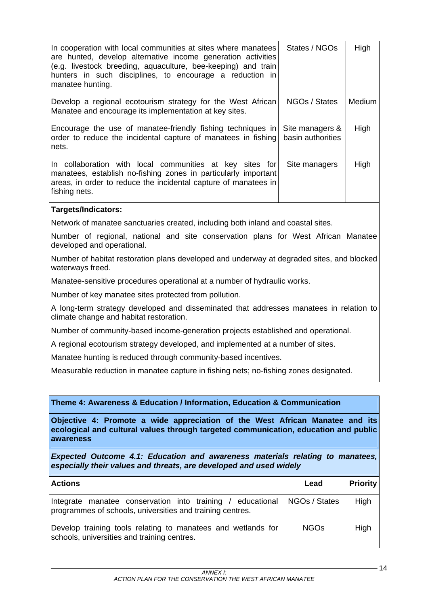| In cooperation with local communities at sites where manatees<br>are hunted, develop alternative income generation activities<br>(e.g. livestock breeding, aquaculture, bee-keeping) and train<br>hunters in such disciplines, to encourage a reduction in<br>manatee hunting. | States / NGOs                        | High   |
|--------------------------------------------------------------------------------------------------------------------------------------------------------------------------------------------------------------------------------------------------------------------------------|--------------------------------------|--------|
| Develop a regional ecotourism strategy for the West African<br>Manatee and encourage its implementation at key sites.                                                                                                                                                          | NGOs / States                        | Medium |
| Encourage the use of manatee-friendly fishing techniques in<br>order to reduce the incidental capture of manatees in fishing<br>nets.                                                                                                                                          | Site managers &<br>basin authorities | High   |
| In collaboration with local communities at key sites for<br>manatees, establish no-fishing zones in particularly important<br>areas, in order to reduce the incidental capture of manatees in<br>fishing nets.                                                                 | Site managers                        | High   |

### **Targets/Indicators:**

Network of manatee sanctuaries created, including both inland and coastal sites.

Number of regional, national and site conservation plans for West African Manatee developed and operational.

Number of habitat restoration plans developed and underway at degraded sites, and blocked waterways freed.

Manatee-sensitive procedures operational at a number of hydraulic works.

Number of key manatee sites protected from pollution.

A long-term strategy developed and disseminated that addresses manatees in relation to climate change and habitat restoration.

Number of community-based income-generation projects established and operational.

A regional ecotourism strategy developed, and implemented at a number of sites.

Manatee hunting is reduced through community-based incentives.

Measurable reduction in manatee capture in fishing nets; no-fishing zones designated.

### **Theme 4: Awareness & Education / Information, Education & Communication**

**Objective 4: Promote a wide appreciation of the West African Manatee and its ecological and cultural values through targeted communication, education and public awareness** 

*Expected Outcome 4.1: Education and awareness materials relating to manatees, especially their values and threats, are developed and used widely* 

| <b>Actions</b>                                                                                                          | Lead          | <b>Priority</b> |
|-------------------------------------------------------------------------------------------------------------------------|---------------|-----------------|
| Integrate manatee conservation into training / educational<br>programmes of schools, universities and training centres. | NGOs / States | High            |
| Develop training tools relating to manatees and wetlands for<br>schools, universities and training centres.             | <b>NGOs</b>   | High            |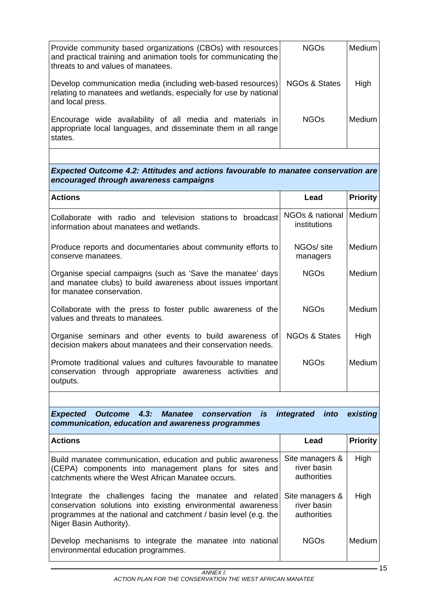| Provide community based organizations (CBOs) with resources<br>and practical training and animation tools for communicating the<br>threats to and values of manatees. | <b>NGOs</b>              | Medium   |
|-----------------------------------------------------------------------------------------------------------------------------------------------------------------------|--------------------------|----------|
| Develop communication media (including web-based resources)<br>relating to manatees and wetlands, especially for use by national<br>and local press.                  | <b>NGOs &amp; States</b> | High     |
| Encourage wide availability of all media and materials in<br>appropriate local languages, and disseminate them in all range<br>states.                                | <b>NGOs</b>              | Medium I |

## *Expected Outcome 4.2: Attitudes and actions favourable to manatee conservation are encouraged through awareness campaigns*

| <b>Actions</b>                                                                                                                                           | Lead                            | <b>Priority</b> |
|----------------------------------------------------------------------------------------------------------------------------------------------------------|---------------------------------|-----------------|
| Collaborate with radio and television stations to broadcast<br>information about manatees and wetlands.                                                  | NGOs & national<br>institutions | Medium          |
| Produce reports and documentaries about community efforts to<br>conserve manatees.                                                                       | NGOs/ site<br>managers          | Medium          |
| Organise special campaigns (such as 'Save the manatee' days<br>and manatee clubs) to build awareness about issues important<br>for manatee conservation. | <b>NGOs</b>                     | Medium          |
| Collaborate with the press to foster public awareness of the<br>values and threats to manatees.                                                          | <b>NGOs</b>                     | <b>Medium</b>   |
| Organise seminars and other events to build awareness of<br>decision makers about manatees and their conservation needs.                                 | NGOs & States                   | High            |
| Promote traditional values and cultures favourable to manatee<br>conservation through appropriate awareness activities and<br>outputs.                   | <b>NGOs</b>                     | <b>Medium</b>   |

*Expected Outcome 4.3: Manatee conservation is integrated into existing communication, education and awareness programmes* 

| <b>Actions</b>                                                                                                                                                                                                         | Lead                                          | <b>Priority</b> |
|------------------------------------------------------------------------------------------------------------------------------------------------------------------------------------------------------------------------|-----------------------------------------------|-----------------|
| Build manatee communication, education and public awareness<br>(CEPA) components into management plans for sites and<br>catchments where the West African Manatee occurs.                                              | Site managers &<br>river basin<br>authorities | High            |
| Integrate the challenges facing the manatee and related<br>conservation solutions into existing environmental awareness<br>programmes at the national and catchment / basin level (e.g. the<br>Niger Basin Authority). | Site managers &<br>river basin<br>authorities | High            |
| Develop mechanisms to integrate the manatee into national<br>environmental education programmes.                                                                                                                       | <b>NGO<sub>S</sub></b>                        | Medium          |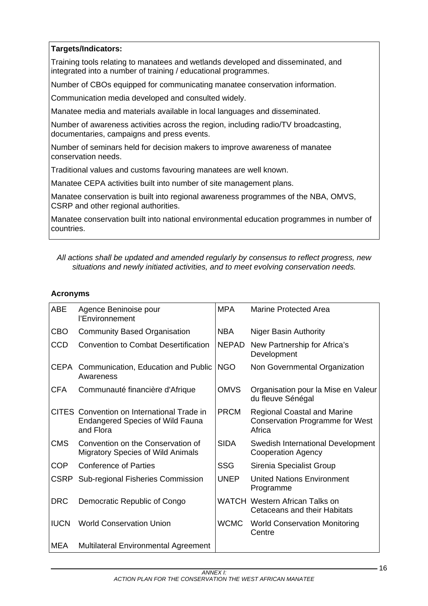# **Targets/Indicators:**

Training tools relating to manatees and wetlands developed and disseminated, and integrated into a number of training / educational programmes.

Number of CBOs equipped for communicating manatee conservation information.

Communication media developed and consulted widely.

Manatee media and materials available in local languages and disseminated.

Number of awareness activities across the region, including radio/TV broadcasting, documentaries, campaigns and press events.

Number of seminars held for decision makers to improve awareness of manatee conservation needs.

Traditional values and customs favouring manatees are well known.

Manatee CEPA activities built into number of site management plans.

Manatee conservation is built into regional awareness programmes of the NBA, OMVS, CSRP and other regional authorities.

Manatee conservation built into national environmental education programmes in number of countries.

*All actions shall be updated and amended regularly by consensus to reflect progress, new situations and newly initiated activities, and to meet evolving conservation needs.* 

## **Acronyms**

| <b>ABE</b>  | Agence Beninoise pour<br>l'Environnement                                                           | <b>MPA</b>   | <b>Marine Protected Area</b>                                                           |
|-------------|----------------------------------------------------------------------------------------------------|--------------|----------------------------------------------------------------------------------------|
| <b>CBO</b>  | <b>Community Based Organisation</b>                                                                | NBA.         | <b>Niger Basin Authority</b>                                                           |
| <b>CCD</b>  | <b>Convention to Combat Desertification</b>                                                        | <b>NEPAD</b> | New Partnership for Africa's<br>Development                                            |
|             | CEPA Communication, Education and Public<br>Awareness                                              | <b>NGO</b>   | Non Governmental Organization                                                          |
| <b>CFA</b>  | Communauté financière d'Afrique                                                                    | <b>OMVS</b>  | Organisation pour la Mise en Valeur<br>du fleuve Sénégal                               |
|             | CITES Convention on International Trade in<br><b>Endangered Species of Wild Fauna</b><br>and Flora | <b>PRCM</b>  | <b>Regional Coastal and Marine</b><br><b>Conservation Programme for West</b><br>Africa |
| <b>CMS</b>  | Convention on the Conservation of<br><b>Migratory Species of Wild Animals</b>                      | <b>SIDA</b>  | Swedish International Development<br><b>Cooperation Agency</b>                         |
| <b>COP</b>  | <b>Conference of Parties</b>                                                                       | <b>SSG</b>   | Sirenia Specialist Group                                                               |
| <b>CSRP</b> | Sub-regional Fisheries Commission                                                                  | <b>UNEP</b>  | <b>United Nations Environment</b><br>Programme                                         |
| <b>DRC</b>  | Democratic Republic of Congo                                                                       |              | <b>WATCH Western African Talks on</b><br><b>Cetaceans and their Habitats</b>           |
| <b>IUCN</b> | <b>World Conservation Union</b>                                                                    | <b>WCMC</b>  | <b>World Conservation Monitoring</b><br>Centre                                         |
| MEA         | <b>Multilateral Environmental Agreement</b>                                                        |              |                                                                                        |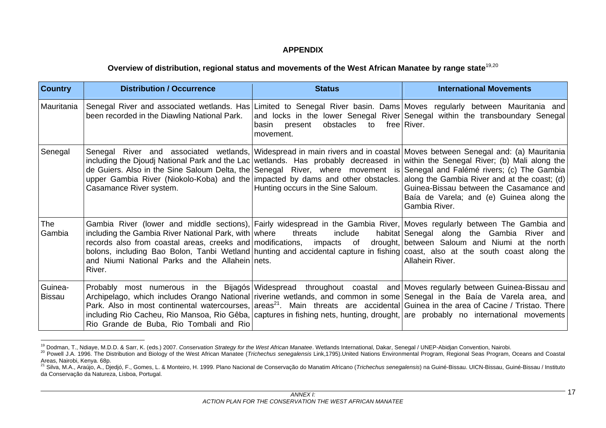### **APPENDIX**

## **Overview of distribution, regional status and movements of the West African Manatee by range state**19,20

| <b>Country</b>           | <b>Distribution / Occurrence</b>                                                                                                                                                                                                                                                                                                                                                                                                                            | <b>Status</b>                                       | <b>International Movements</b>                                                                                                                                                                                                   |
|--------------------------|-------------------------------------------------------------------------------------------------------------------------------------------------------------------------------------------------------------------------------------------------------------------------------------------------------------------------------------------------------------------------------------------------------------------------------------------------------------|-----------------------------------------------------|----------------------------------------------------------------------------------------------------------------------------------------------------------------------------------------------------------------------------------|
| Mauritania               | Senegal River and associated wetlands. Has   Limited to Senegal River basin. Dams   Moves regularly between Mauritania and<br>been recorded in the Diawling National Park.                                                                                                                                                                                                                                                                                  | basin present obstacles to free River.<br>movement. | and locks in the lower Senegal River Senegal within the transboundary Senegal                                                                                                                                                    |
| Senegal                  | Senegal River and associated wetlands, Widespread in main rivers and in coastal Moves between Senegal and: (a) Mauritania<br>including the Djoudj National Park and the Lac wetlands. Has probably decreased in within the Senegal River; (b) Mali along the<br>upper Gambia River (Niokolo-Koba) and the impacted by dams and other obstacles. along the Gambia River and at the coast; (d)<br>Casamance River system.                                     | Hunting occurs in the Sine Saloum.                  | de Guiers. Also in the Sine Saloum Delta, the Senegal River, where movement is Senegal and Falémé rivers; (c) The Gambia<br>Guinea-Bissau between the Casamance and<br>Baía de Varela; and (e) Guinea along the<br>Gambia River. |
| <b>The</b><br>Gambia     | including the Gambia River National Park, with where threats<br>records also from coastal areas, creeks and modifications, impacts of drought, between Saloum and Niumi at the north<br>bolons, including Bao Bolon, Tanbi Wetland hunting and accidental capture in fishing coast, also at the south coast along the<br>and Niumi National Parks and the Allahein nets.<br>River.                                                                          |                                                     | Gambia River (lower and middle sections), Fairly widespread in the Gambia River, Moves regularly between The Gambia and<br>include habitat Senegal along the Gambia River<br>and<br>Allahein River.                              |
| Guinea-<br><b>Bissau</b> | Archipelago, which includes Orango National riverine wetlands, and common in some Senegal in the Baía de Varela area, and<br>Park. Also in most continental watercourses, areas <sup>21</sup> . Main threats are accidental Guinea in the area of Cacine / Tristao. There<br>including Rio Cacheu, Rio Mansoa, Rio Gêba,   captures in fishing nets, hunting, drought,   are probably no international movements<br>Rio Grande de Buba, Rio Tombali and Rio |                                                     | Probably most numerous in the Bijagós Widespread throughout coastal and Moves regularly between Guinea-Bissau and                                                                                                                |

<sup>&</sup>lt;sup>19</sup> Dodman, T., Ndiaye, M.D.D. & Sarr, K. (eds.) 2007. Conservation Strategy for the West African Manatee. Wetlands International, Dakar, Senegal / UNEP-Abidjan Convention, Nairobi.<br><sup>20</sup> Powell J.A. 1996. The Distribution Areas, Nairobi, Kenya. 68p.<br><sup>21</sup> Silva, M.A., Araújo, A., Djedjó, F., Gomes, L. & Monteiro, H. 1999. Plano Nacional de Conservação do Manatim Africano (*Trichechus senegalensis*) na Guiné-Bissau. UICN-Bissau, Guiné-Bissau

da Conservação da Natureza, Lisboa, Portugal.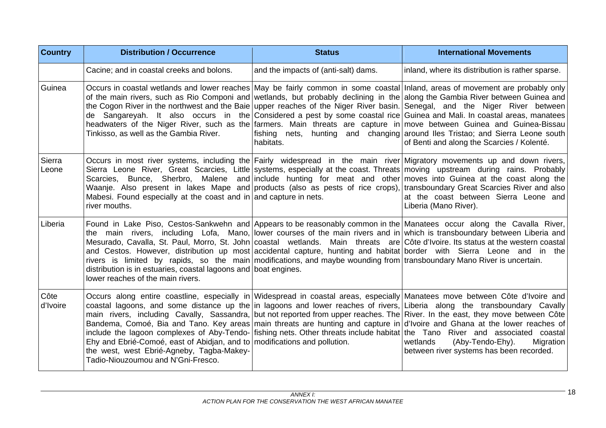| <b>Country</b>   | <b>Distribution / Occurrence</b>                                                                                                                                                                                                                                                                                                                                                                                                                                                                                                                                                                                                                                                                                                                                                                                          | <b>Status</b>                        | <b>International Movements</b>                                                                                               |
|------------------|---------------------------------------------------------------------------------------------------------------------------------------------------------------------------------------------------------------------------------------------------------------------------------------------------------------------------------------------------------------------------------------------------------------------------------------------------------------------------------------------------------------------------------------------------------------------------------------------------------------------------------------------------------------------------------------------------------------------------------------------------------------------------------------------------------------------------|--------------------------------------|------------------------------------------------------------------------------------------------------------------------------|
|                  | Cacine; and in coastal creeks and bolons.                                                                                                                                                                                                                                                                                                                                                                                                                                                                                                                                                                                                                                                                                                                                                                                 | and the impacts of (anti-salt) dams. | inland, where its distribution is rather sparse.                                                                             |
| Guinea           | Occurs in coastal wetlands and lower reaches May be fairly common in some coastal Inland, areas of movement are probably only<br>of the main rivers, such as Rio Componi and wetlands, but probably declining in the along the Gambia River between Guinea and<br>the Cogon River in the northwest and the Baie upper reaches of the Niger River basin. Senegal, and the Niger River between<br>de Sangareyah. It also occurs in the Considered a pest by some coastal rice Guinea and Mali. In coastal areas, manatees<br>headwaters of the Niger River, such as the farmers. Main threats are capture in move between Guinea and Guinea-Bissau<br>Tinkisso, as well as the Gambia River.                                                                                                                                | habitats.                            | fishing nets, hunting and changing around Iles Tristao; and Sierra Leone south<br>of Benti and along the Scarcies / Kolenté. |
| Sierra<br>Leone  | Occurs in most river systems, including the Fairly widespread in the main river Migratory movements up and down rivers,<br>Sierra Leone River, Great Scarcies, Little systems, especially at the coast. Threats moving upstream during rains. Probably<br>Scarcies, Bunce, Sherbro, Malene and include hunting for meat and other moves into Guinea at the coast along the<br>Waanje. Also present in lakes Mape and products (also as pests of rice crops), transboundary Great Scarcies River and also<br>Mabesi. Found especially at the coast and in and capture in nets.<br>river mouths.                                                                                                                                                                                                                            |                                      | at the coast between Sierra Leone and<br>Liberia (Mano River).                                                               |
| Liberia          | Found in Lake Piso, Cestos-Sankwehn and Appears to be reasonably common in the Manatees occur along the Cavalla River,<br>the main rivers, including Lofa, Mano, lower courses of the main rivers and in which is transboundary between Liberia and<br>Mesurado, Cavalla, St. Paul, Morro, St. John coastal wetlands. Main threats are Côte d'Ivoire. Its status at the western coastal<br>and Cestos. However, distribution up most accidental capture, hunting and habitat border with Sierra Leone and in the<br>rivers is limited by rapids, so the main modifications, and maybe wounding from transboundary Mano River is uncertain.<br>distribution is in estuaries, coastal lagoons and boat engines.<br>lower reaches of the main rivers.                                                                        |                                      |                                                                                                                              |
| Côte<br>d'Ivoire | Occurs along entire coastline, especially in Widespread in coastal areas, especially Manatees move between Côte d'Ivoire and<br>coastal lagoons, and some distance up the in lagoons and lower reaches of rivers, Liberia along the transboundary Cavally<br>main rivers, including Cavally, Sassandra, but not reported from upper reaches. The River. In the east, they move between Côte<br>Bandema, Comoé, Bia and Tano. Key areas main threats are hunting and capture in d'Ivoire and Ghana at the lower reaches of<br>include the lagoon complexes of Aby-Tendo- fishing nets. Other threats include habitat the Tano River and associated coastal<br>Ehy and Ebrié-Comoé, east of Abidjan, and to modifications and pollution.<br>the west, west Ebrié-Agneby, Tagba-Makey-<br>Tadio-Niouzoumou and N'Gni-Fresco. |                                      | wetlands<br>(Aby-Tendo-Ehy).<br>Migration<br>between river systems has been recorded.                                        |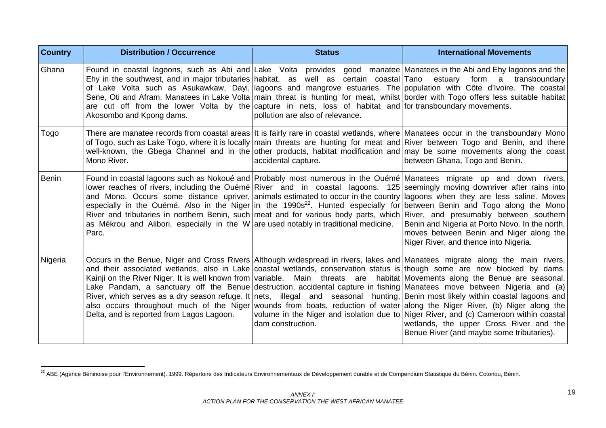| <b>Country</b> | <b>Distribution / Occurrence</b>                                                                                                                                                                                                                                                                                                                                                                                                                                                                                                                                                                                                                                                              | <b>Status</b>                    | <b>International Movements</b>                                                                                                                                                                                                                                                                                                                                                                                                                                                                                                                                                                                                                                 |
|----------------|-----------------------------------------------------------------------------------------------------------------------------------------------------------------------------------------------------------------------------------------------------------------------------------------------------------------------------------------------------------------------------------------------------------------------------------------------------------------------------------------------------------------------------------------------------------------------------------------------------------------------------------------------------------------------------------------------|----------------------------------|----------------------------------------------------------------------------------------------------------------------------------------------------------------------------------------------------------------------------------------------------------------------------------------------------------------------------------------------------------------------------------------------------------------------------------------------------------------------------------------------------------------------------------------------------------------------------------------------------------------------------------------------------------------|
| Ghana          | Found in coastal lagoons, such as Abi and Lake Volta provides good manatee Manatees in the Abi and Ehy lagoons and the<br>Ehy in the southwest, and in major tributaries habitat, as well as certain coastal Tano<br>are cut off from the lower Volta by the capture in nets, loss of habitat and for transboundary movements.<br>Akosombo and Kpong dams.                                                                                                                                                                                                                                                                                                                                    | pollution are also of relevance. | estuary<br>form a<br>transboundary<br>of Lake Volta such as Asukawkaw, Dayi,   lagoons and mangrove estuaries. The   population with Côte d'Ivoire. The coastal<br>Sene, Oti and Afram. Manatees in Lake Volta main threat is hunting for meat, whilst border with Togo offers less suitable habitat                                                                                                                                                                                                                                                                                                                                                           |
| Togo           | There are manatee records from coastal areas It is fairly rare in coastal wetlands, where Manatees occur in the transboundary Mono<br>of Togo, such as Lake Togo, where it is locally main threats are hunting for meat and River between Togo and Benin, and there<br>Mono River.                                                                                                                                                                                                                                                                                                                                                                                                            | accidental capture.              | well-known, the Gbega Channel and in the other products, habitat modification and may be some movements along the coast<br>between Ghana, Togo and Benin.                                                                                                                                                                                                                                                                                                                                                                                                                                                                                                      |
| <b>Benin</b>   | lower reaches of rivers, including the Ouémé River and in coastal lagoons. 125 seemingly moving downriver after rains into<br>as Mékrou and Alibori, especially in the W are used notably in traditional medicine.<br>Parc.                                                                                                                                                                                                                                                                                                                                                                                                                                                                   |                                  | Found in coastal lagoons such as Nokoué and Probably most numerous in the Ouémé Manatees migrate up and down rivers,<br>and Mono. Occurs some distance upriver, animals estimated to occur in the country lagoons when they are less saline. Moves<br>especially in the Ouémé. Also in the Niger in the 1990s <sup>22</sup> . Hunted especially for between Benin and Togo along the Mono<br>River and tributaries in northern Benin, such meat and for various body parts, which River, and presumably between southern<br>Benin and Nigeria at Porto Novo. In the north,<br>moves between Benin and Niger along the<br>Niger River, and thence into Nigeria. |
| Nigeria        | Occurs in the Benue, Niger and Cross Rivers Although widespread in rivers, lakes and Manatees migrate along the main rivers,<br>and their associated wetlands, also in Lake coastal wetlands, conservation status is though some are now blocked by dams.<br>Kainji on the River Niger. It is well known from variable. Main threats are habitat Movements along the Benue are seasonal.<br>Lake Pandam, a sanctuary off the Benue destruction, accidental capture in fishing Manatees move between Nigeria and (a)<br>also occurs throughout much of the Niger wounds from boats, reduction of water along the Niger River, (b) Niger along the<br>Delta, and is reported from Lagos Lagoon. | dam construction.                | River, which serves as a dry season refuge. It nets, illegal and seasonal hunting, Benin most likely within coastal lagoons and<br>volume in the Niger and isolation due to Niger River, and (c) Cameroon within coastal<br>wetlands, the upper Cross River and the<br>Benue River (and maybe some tributaries).                                                                                                                                                                                                                                                                                                                                               |

<sup>&</sup>lt;sup>22</sup> ABE (Agence Béninoise pour l'Environnement). 1999. Répertoire des Indicateurs Environnementaux de Développement durable et de Compendium Statistique du Bénin. Cotonou, Bénin.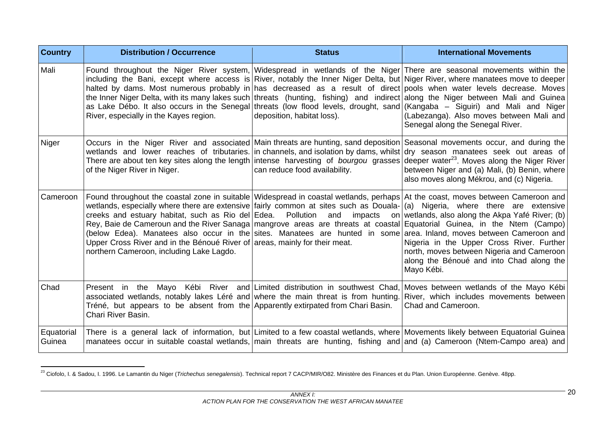| <b>Country</b>       | <b>Distribution / Occurrence</b>                                                                                                                                                                                                                                                                                                                                                                                                                                                                                                                                                          | <b>Status</b>                 | <b>International Movements</b>                                                                                                                                                                                                                                                                                               |
|----------------------|-------------------------------------------------------------------------------------------------------------------------------------------------------------------------------------------------------------------------------------------------------------------------------------------------------------------------------------------------------------------------------------------------------------------------------------------------------------------------------------------------------------------------------------------------------------------------------------------|-------------------------------|------------------------------------------------------------------------------------------------------------------------------------------------------------------------------------------------------------------------------------------------------------------------------------------------------------------------------|
| Mali                 | including the Bani, except where access is River, notably the Inner Niger Delta, but Niger River, where manatees move to deeper<br>halted by dams. Most numerous probably in has decreased as a result of direct pools when water levels decrease. Moves<br>the Inner Niger Delta, with its many lakes such threats (hunting, fishing) and indirect along the Niger between Mali and Guinea<br>as Lake Débo. It also occurs in the Senegal threats (low flood levels, drought, sand (Kangaba - Siguiri) and Mali and Niger<br>River, especially in the Kayes region.                      | deposition, habitat loss).    | Found throughout the Niger River system, Widespread in wetlands of the Niger There are seasonal movements within the<br>(Labezanga). Also moves between Mali and<br>Senegal along the Senegal River.                                                                                                                         |
| Niger                | wetlands and lower reaches of tributaries. in channels, and isolation by dams, whilst dry season manatees seek out areas of<br>There are about ten key sites along the length intense harvesting of <i>bourgou</i> grasses<br>of the Niger River in Niger.                                                                                                                                                                                                                                                                                                                                | can reduce food availability. | Occurs in the Niger River and associated Main threats are hunting, sand deposition Seasonal movements occur, and during the<br>deeper water <sup>23</sup> . Moves along the Niger River<br>between Niger and (a) Mali, (b) Benin, where<br>also moves along Mékrou, and (c) Nigeria.                                         |
| Cameroon             | Found throughout the coastal zone in suitable Widespread in coastal wetlands, perhaps At the coast, moves between Cameroon and<br>wetlands, especially where there are extensive fairly common at sites such as Douala- (a) Nigeria, where there are extensive<br>creeks and estuary habitat, such as Rio del Edea.  Pollution and<br>Rey, Baie de Cameroun and the River Sanaga   mangrove areas are threats at coastal Equatorial Guinea, in the Ntem (Campo)<br>Upper Cross River and in the Bénoué River of areas, mainly for their meat.<br>northern Cameroon, including Lake Lagdo. | impacts                       | on wetlands, also along the Akpa Yafé River; (b)<br>(below Edea). Manatees also occur in the sites. Manatees are hunted in some area. Inland, moves between Cameroon and<br>Nigeria in the Upper Cross River. Further<br>north, moves between Nigeria and Cameroon<br>along the Bénoué and into Chad along the<br>Mayo Kébi. |
| Chad                 | Present in the Mayo Kébi River and Limited distribution in southwest Chad,<br>associated wetlands, notably lakes Léré and where the main threat is from hunting.<br>Tréné, but appears to be absent from the Apparently extirpated from Chari Basin.<br>Chari River Basin.                                                                                                                                                                                                                                                                                                                |                               | Moves between wetlands of the Mayo Kébi<br>River, which includes movements between<br>Chad and Cameroon.                                                                                                                                                                                                                     |
| Equatorial<br>Guinea | manatees occur in suitable coastal wetlands, main threats are hunting, fishing and and (a) Cameroon (Ntem-Campo area) and                                                                                                                                                                                                                                                                                                                                                                                                                                                                 |                               | There is a general lack of information, but Limited to a few coastal wetlands, where Movements likely between Equatorial Guinea                                                                                                                                                                                              |

<sup>&</sup>lt;sup>23</sup> Ciofolo, I. & Sadou, I. 1996. Le Lamantin du Niger (*Trichechus senegalensis*). Technical report 7 CACP/MIR/O82. Ministère des Finances et du Plan. Union Européenne. Genève. 48pp.